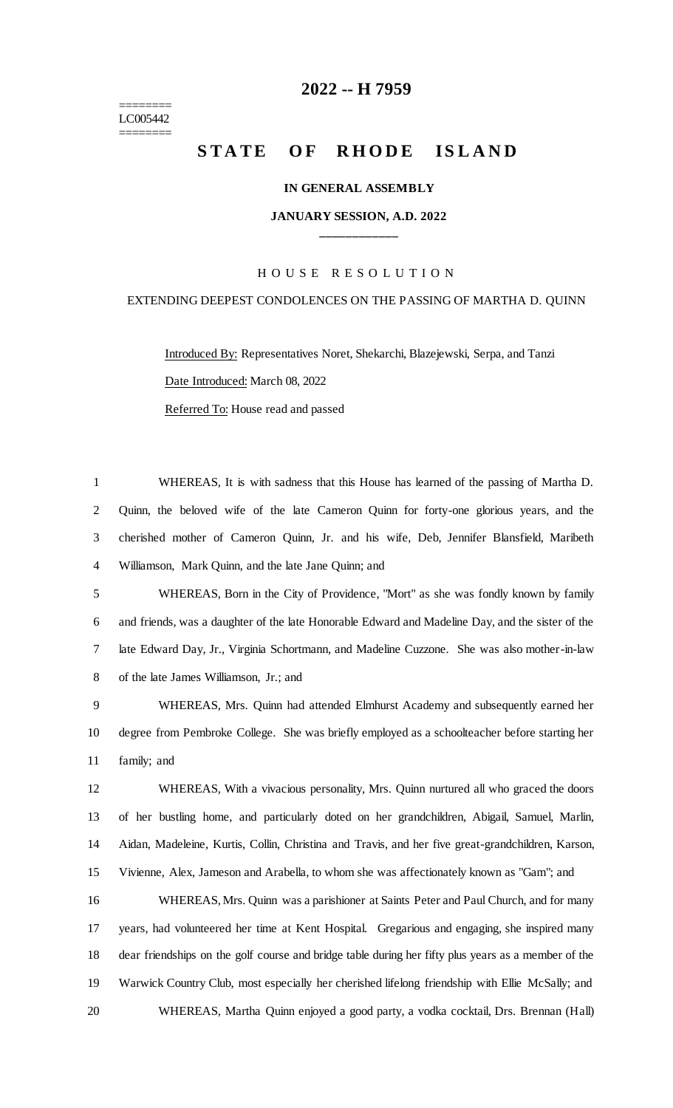======== LC005442 ========

## **-- H 7959**

# **STATE OF RHODE ISLAND**

#### **IN GENERAL ASSEMBLY**

### **JANUARY SESSION, A.D. 2022 \_\_\_\_\_\_\_\_\_\_\_\_**

### H O U S E R E S O L U T I O N

## EXTENDING DEEPEST CONDOLENCES ON THE PASSING OF MARTHA D. QUINN

Introduced By: Representatives Noret, Shekarchi, Blazejewski, Serpa, and Tanzi Date Introduced: March 08, 2022 Referred To: House read and passed

 WHEREAS, It is with sadness that this House has learned of the passing of Martha D. Quinn, the beloved wife of the late Cameron Quinn for forty-one glorious years, and the cherished mother of Cameron Quinn, Jr. and his wife, Deb, Jennifer Blansfield, Maribeth Williamson, Mark Quinn, and the late Jane Quinn; and

 WHEREAS, Born in the City of Providence, "Mort" as she was fondly known by family and friends, was a daughter of the late Honorable Edward and Madeline Day, and the sister of the late Edward Day, Jr., Virginia Schortmann, and Madeline Cuzzone. She was also mother-in-law of the late James Williamson, Jr.; and

 WHEREAS, Mrs. Quinn had attended Elmhurst Academy and subsequently earned her degree from Pembroke College. She was briefly employed as a schoolteacher before starting her family; and

 WHEREAS, With a vivacious personality, Mrs. Quinn nurtured all who graced the doors of her bustling home, and particularly doted on her grandchildren, Abigail, Samuel, Marlin, Aidan, Madeleine, Kurtis, Collin, Christina and Travis, and her five great-grandchildren, Karson, Vivienne, Alex, Jameson and Arabella, to whom she was affectionately known as "Gam"; and

 WHEREAS, Mrs. Quinn was a parishioner at Saints Peter and Paul Church, and for many years, had volunteered her time at Kent Hospital. Gregarious and engaging, she inspired many dear friendships on the golf course and bridge table during her fifty plus years as a member of the Warwick Country Club, most especially her cherished lifelong friendship with Ellie McSally; and WHEREAS, Martha Quinn enjoyed a good party, a vodka cocktail, Drs. Brennan (Hall)